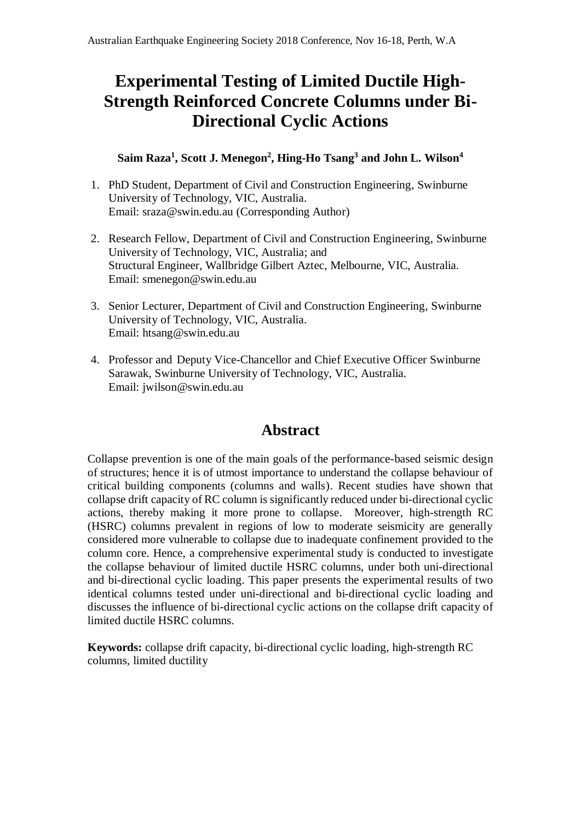# **Experimental Testing of Limited Ductile High-Strength Reinforced Concrete Columns under Bi-Directional Cyclic Actions**

#### **Saim Raza<sup>1</sup> , Scott J. Menegon<sup>2</sup> , Hing-Ho Tsang<sup>3</sup> and John L. Wilson<sup>4</sup>**

- 1. PhD Student, Department of Civil and Construction Engineering, Swinburne University of Technology, VIC, Australia. Email: [sraza@swin.edu.au](mailto:sraza@swin.edu.au) (Corresponding Author)
- 2. Research Fellow, Department of Civil and Construction Engineering, Swinburne University of Technology, VIC, Australia; and Structural Engineer, Wallbridge Gilbert Aztec, Melbourne, VIC, Australia. Email: smenegon@swin.edu.au
- 3. Senior Lecturer, Department of Civil and Construction Engineering, Swinburne University of Technology, VIC, Australia. Email: htsang@swin.edu.au
- 4. Professor and Deputy Vice-Chancellor and Chief Executive Officer Swinburne Sarawak, Swinburne University of Technology, VIC, Australia. Email: jwilson@swin.edu.au

## **Abstract**

Collapse prevention is one of the main goals of the performance-based seismic design of structures; hence it is of utmost importance to understand the collapse behaviour of critical building components (columns and walls). Recent studies have shown that collapse drift capacity of RC column is significantly reduced under bi-directional cyclic actions, thereby making it more prone to collapse. Moreover, high-strength RC (HSRC) columns prevalent in regions of low to moderate seismicity are generally considered more vulnerable to collapse due to inadequate confinement provided to the column core. Hence, a comprehensive experimental study is conducted to investigate the collapse behaviour of limited ductile HSRC columns, under both uni-directional and bi-directional cyclic loading. This paper presents the experimental results of two identical columns tested under uni-directional and bi-directional cyclic loading and discusses the influence of bi-directional cyclic actions on the collapse drift capacity of limited ductile HSRC columns.

**Keywords:** collapse drift capacity, bi-directional cyclic loading, high-strength RC columns, limited ductility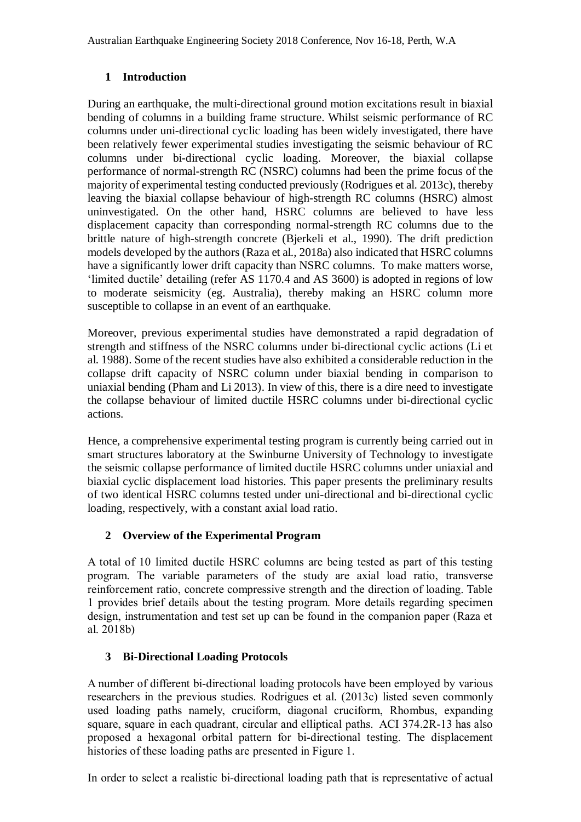### **1 Introduction**

During an earthquake, the multi-directional ground motion excitations result in biaxial bending of columns in a building frame structure. Whilst seismic performance of RC columns under uni-directional cyclic loading has been widely investigated, there have been relatively fewer experimental studies investigating the seismic behaviour of RC columns under bi-directional cyclic loading. Moreover, the biaxial collapse performance of normal-strength RC (NSRC) columns had been the prime focus of the majority of experimental testing conducted previously (Rodrigues et al. 2013c), thereby leaving the biaxial collapse behaviour of high-strength RC columns (HSRC) almost uninvestigated. On the other hand, HSRC columns are believed to have less displacement capacity than corresponding normal-strength RC columns due to the brittle nature of high-strength concrete (Bjerkeli et al., 1990). The drift prediction models developed by the authors (Raza et al., 2018a) also indicated that HSRC columns have a significantly lower drift capacity than NSRC columns. To make matters worse, 'limited ductile' detailing (refer AS 1170.4 and AS 3600) is adopted in regions of low to moderate seismicity (eg. Australia), thereby making an HSRC column more susceptible to collapse in an event of an earthquake.

Moreover, previous experimental studies have demonstrated a rapid degradation of strength and stiffness of the NSRC columns under bi-directional cyclic actions (Li et al. 1988). Some of the recent studies have also exhibited a considerable reduction in the collapse drift capacity of NSRC column under biaxial bending in comparison to uniaxial bending (Pham and Li 2013). In view of this, there is a dire need to investigate the collapse behaviour of limited ductile HSRC columns under bi-directional cyclic actions.

Hence, a comprehensive experimental testing program is currently being carried out in smart structures laboratory at the Swinburne University of Technology to investigate the seismic collapse performance of limited ductile HSRC columns under uniaxial and biaxial cyclic displacement load histories. This paper presents the preliminary results of two identical HSRC columns tested under uni-directional and bi-directional cyclic loading, respectively, with a constant axial load ratio.

### **2 Overview of the Experimental Program**

A total of 10 limited ductile HSRC columns are being tested as part of this testing program. The variable parameters of the study are axial load ratio, transverse reinforcement ratio, concrete compressive strength and the direction of loading. Table 1 provides brief details about the testing program. More details regarding specimen design, instrumentation and test set up can be found in the companion paper (Raza et al. 2018b)

#### **3 Bi-Directional Loading Protocols**

A number of different bi-directional loading protocols have been employed by various researchers in the previous studies. Rodrigues et al. (2013c) listed seven commonly used loading paths namely, cruciform, diagonal cruciform, Rhombus, expanding square, square in each quadrant, circular and elliptical paths. ACI 374.2R-13 has also proposed a hexagonal orbital pattern for bi-directional testing. The displacement histories of these loading paths are presented in Figure 1.

In order to select a realistic bi-directional loading path that is representative of actual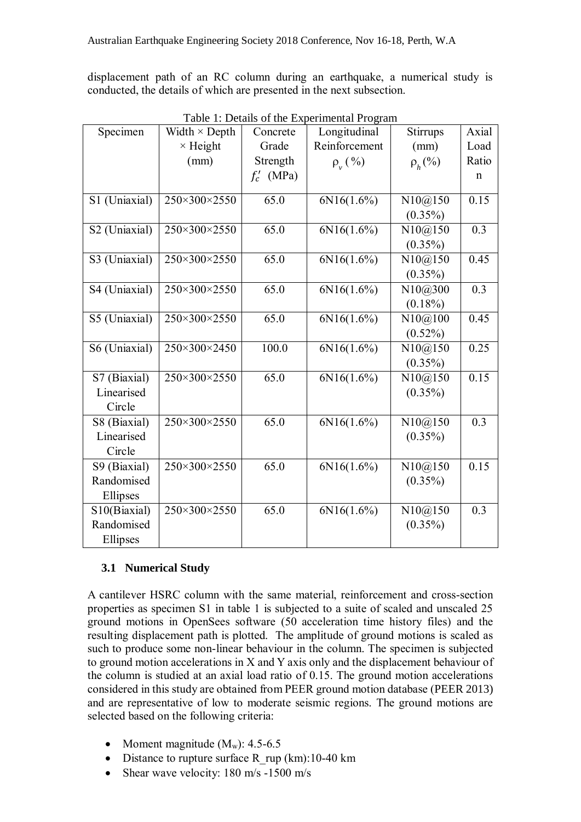displacement path of an RC column during an earthquake, a numerical study is conducted, the details of which are presented in the next subsection.

| Specimen      | Width $\times$ Depth | Concrete     | Longitudinal   | Stirrups     | Axial |
|---------------|----------------------|--------------|----------------|--------------|-------|
|               | $\times$ Height      | Grade        | Reinforcement  | (mm)         | Load  |
|               | (mm)                 | Strength     | $\rho_{v}(\%)$ | $\rho_h$ (%) | Ratio |
|               |                      | $f'_c$ (MPa) |                |              | n     |
|               | 250×300×2550         | 65.0         |                |              | 0.15  |
| S1 (Uniaxial) |                      |              | 6N16(1.6%)     | N10@150      |       |
|               |                      |              |                | $(0.35\%)$   |       |
| S2 (Uniaxial) | 250×300×2550         | 65.0         | 6N16(1.6%)     | N10@150      | 0.3   |
|               |                      |              |                | $(0.35\%)$   |       |
| S3 (Uniaxial) | 250×300×2550         | 65.0         | 6N16(1.6%)     | N10@150      | 0.45  |
|               |                      |              |                | $(0.35\%)$   |       |
| S4 (Uniaxial) | 250×300×2550         | 65.0         | 6N16(1.6%)     | N10@300      | 0.3   |
|               |                      |              |                | $(0.18\%)$   |       |
| S5 (Uniaxial) | 250×300×2550         | 65.0         | 6N16(1.6%)     | N10@100      | 0.45  |
|               |                      |              |                | $(0.52\%)$   |       |
| S6 (Uniaxial) | 250×300×2450         | 100.0        | 6N16(1.6%)     | N10@150      | 0.25  |
|               |                      |              |                | $(0.35\%)$   |       |
| S7 (Biaxial)  | 250×300×2550         | 65.0         | 6N16(1.6%)     | N10@150      | 0.15  |
| Linearised    |                      |              |                | $(0.35\%)$   |       |
| Circle        |                      |              |                |              |       |
| S8 (Biaxial)  | 250×300×2550         | 65.0         | 6N16(1.6%)     | N10@150      | 0.3   |
| Linearised    |                      |              |                | $(0.35\%)$   |       |
| Circle        |                      |              |                |              |       |
| S9 (Biaxial)  | 250×300×2550         | 65.0         | 6N16(1.6%)     | N10@150      | 0.15  |
| Randomised    |                      |              |                | $(0.35\%)$   |       |
| Ellipses      |                      |              |                |              |       |
| S10(Biaxial)  | 250×300×2550         | 65.0         | 6N16(1.6%)     | N10@150      | 0.3   |
| Randomised    |                      |              |                | $(0.35\%)$   |       |
| Ellipses      |                      |              |                |              |       |

Table 1: Details of the Experimental Program

#### **3.1 Numerical Study**

A cantilever HSRC column with the same material, reinforcement and cross-section properties as specimen S1 in table 1 is subjected to a suite of scaled and unscaled 25 ground motions in OpenSees software (50 acceleration time history files) and the resulting displacement path is plotted. The amplitude of ground motions is scaled as such to produce some non-linear behaviour in the column. The specimen is subjected to ground motion accelerations in X and Y axis only and the displacement behaviour of the column is studied at an axial load ratio of 0.15. The ground motion accelerations considered in this study are obtained from PEER ground motion database (PEER 2013) and are representative of low to moderate seismic regions. The ground motions are selected based on the following criteria:

- Moment magnitude  $(M_w)$ : 4.5-6.5
- Distance to rupture surface R\_rup (km):10-40 km
- Shear wave velocity: 180 m/s -1500 m/s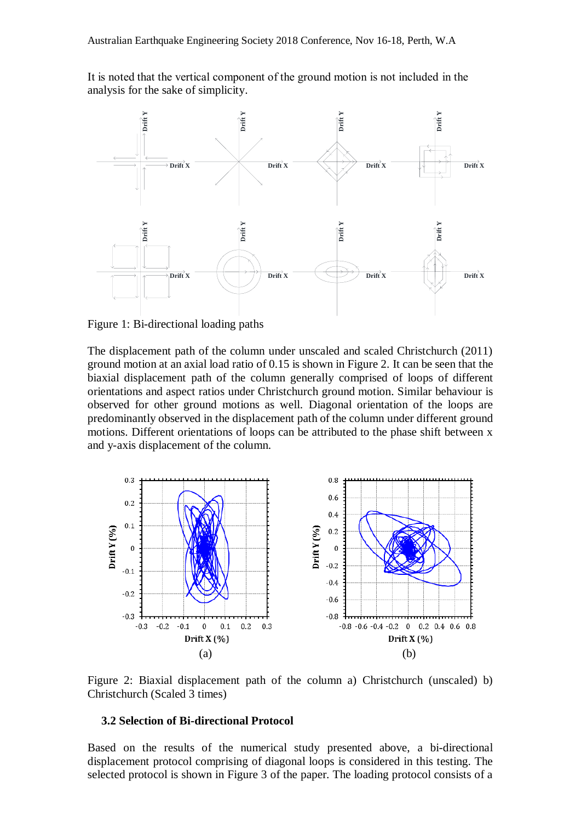It is noted that the vertical component of the ground motion is not included in the analysis for the sake of simplicity.



Figure 1: Bi-directional loading paths

The displacement path of the column under unscaled and scaled Christchurch (2011) ground motion at an axial load ratio of 0.15 is shown in Figure 2. It can be seen that the biaxial displacement path of the column generally comprised of loops of different orientations and aspect ratios under Christchurch ground motion. Similar behaviour is observed for other ground motions as well. Diagonal orientation of the loops are predominantly observed in the displacement path of the column under different ground motions. Different orientations of loops can be attributed to the phase shift between x and y-axis displacement of the column.



Figure 2: Biaxial displacement path of the column a) Christchurch (unscaled) b) Christchurch (Scaled 3 times)

#### **3.2 Selection of Bi-directional Protocol**

Based on the results of the numerical study presented above, a bi-directional displacement protocol comprising of diagonal loops is considered in this testing. The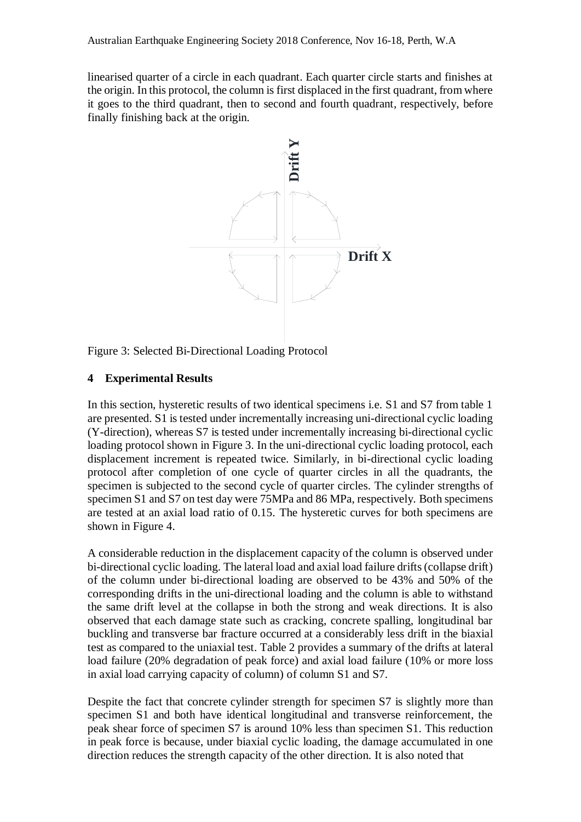linearised quarter of a circle in each quadrant. Each quarter circle starts and finishes at the origin. In this protocol, the column is first displaced in the first quadrant, from where it goes to the third quadrant, then to second and fourth quadrant, respectively, before finally finishing back at the origin.



Figure 3: Selected Bi-Directional Loading Protocol

#### **4 Experimental Results**

In this section, hysteretic results of two identical specimens i.e. S1 and S7 from table 1 are presented. S1 is tested under incrementally increasing uni-directional cyclic loading (Y-direction), whereas S7 is tested under incrementally increasing bi-directional cyclic loading protocol shown in Figure 3. In the uni-directional cyclic loading protocol, each displacement increment is repeated twice. Similarly, in bi-directional cyclic loading protocol after completion of one cycle of quarter circles in all the quadrants, the specimen is subjected to the second cycle of quarter circles. The cylinder strengths of specimen S1 and S7 on test day were 75MPa and 86 MPa, respectively. Both specimens are tested at an axial load ratio of 0.15. The hysteretic curves for both specimens are shown in Figure 4. Figure 3: Selected Bi-Directional Loading Protocol<br> **Experimental Results:**<br>
The filter strength capacity of two identical specimens i.e. S1 and S7 from the strength capacity of the strength content capacity of the strengt

A considerable reduction in the displacement capacity of the column is observed under bi-directional cyclic loading. The lateral load and axial load failure drifts (collapse drift) of the column under bi-directional loading are observed to be 43% and 50% of the corresponding drifts in the uni-directional loading and the column is able to withstand the same drift level at the collapse in both the strong and weak directions. It is also observed that each damage state such as cracking, concrete spalling, longitudinal bar buckling and transverse bar fracture occurred at a considerably less drift in the biaxial test as compared to the uniaxial test. Table 2 provides a summary of the drifts at lateral load failure (20% degradation of peak force) and axial load failure (10% or more loss in axial load carrying capacity of column) of column S1 and S7.

Despite the fact that concrete cylinder strength for specimen S7 is slightly more than specimen S1 and both have identical longitudinal and transverse reinforcement, the peak shear force of specimen S7 is around 10% less than specimen S1. This reduction in peak force is because, under biaxial cyclic loading, the damage accumulated in one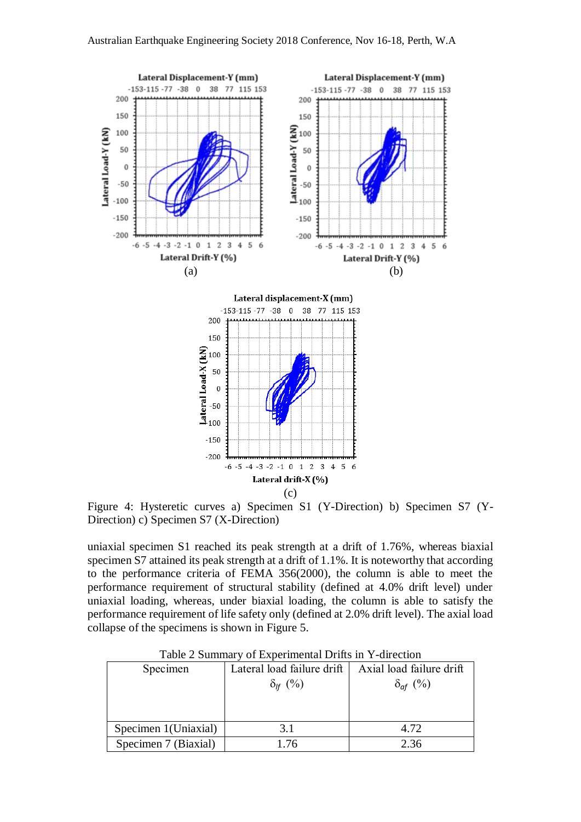

Figure 4: Hysteretic curves a) Specimen S1 (Y-Direction) b) Specimen S7 (Y-Direction) c) Specimen S7 (X-Direction)

uniaxial specimen S1 reached its peak strength at a drift of 1.76%, whereas biaxial specimen S7 attained its peak strength at a drift of 1.1%. It is noteworthy that according to the performance criteria of FEMA 356(2000), the column is able to meet the performance requirement of structural stability (defined at 4.0% drift level) under uniaxial loading, whereas, under biaxial loading, the column is able to satisfy the performance requirement of life safety only (defined at 2.0% drift level). The axial load collapse of the specimens is shown in Figure 5.

| Lateral load failure drift | Axial load failure drift |  |  |  |  |
|----------------------------|--------------------------|--|--|--|--|
| $\delta_{\rm hf}$ (%)      | $\delta_{\text{af}}(\%)$ |  |  |  |  |
|                            |                          |  |  |  |  |
|                            |                          |  |  |  |  |
|                            |                          |  |  |  |  |
| 3.1                        | 4.72                     |  |  |  |  |
| 1.76                       | 2.36                     |  |  |  |  |
|                            |                          |  |  |  |  |

Table 2 Summary of Experimental Drifts in Y-direction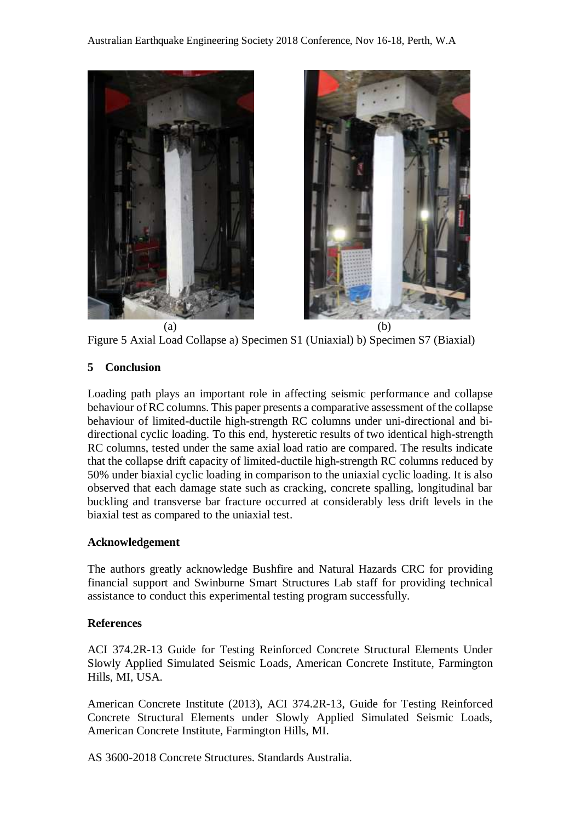



Figure 5 Axial Load Collapse a) Specimen S1 (Uniaxial) b) Specimen S7 (Biaxial)

#### **5 Conclusion**

Loading path plays an important role in affecting seismic performance and collapse behaviour of RC columns. This paper presents a comparative assessment of the collapse behaviour of limited-ductile high-strength RC columns under uni-directional and bidirectional cyclic loading. To this end, hysteretic results of two identical high-strength RC columns, tested under the same axial load ratio are compared. The results indicate that the collapse drift capacity of limited-ductile high-strength RC columns reduced by 50% under biaxial cyclic loading in comparison to the uniaxial cyclic loading. It is also observed that each damage state such as cracking, concrete spalling, longitudinal bar buckling and transverse bar fracture occurred at considerably less drift levels in the biaxial test as compared to the uniaxial test.

#### **Acknowledgement**

The authors greatly acknowledge Bushfire and Natural Hazards CRC for providing financial support and Swinburne Smart Structures Lab staff for providing technical assistance to conduct this experimental testing program successfully.

#### **References**

ACI 374.2R-13 Guide for Testing Reinforced Concrete Structural Elements Under Slowly Applied Simulated Seismic Loads, American Concrete Institute, Farmington Hills, MI, USA.

American Concrete Institute (2013), ACI 374.2R-13, Guide for Testing Reinforced Concrete Structural Elements under Slowly Applied Simulated Seismic Loads, American Concrete Institute, Farmington Hills, MI.

AS 3600-2018 Concrete Structures. Standards Australia.